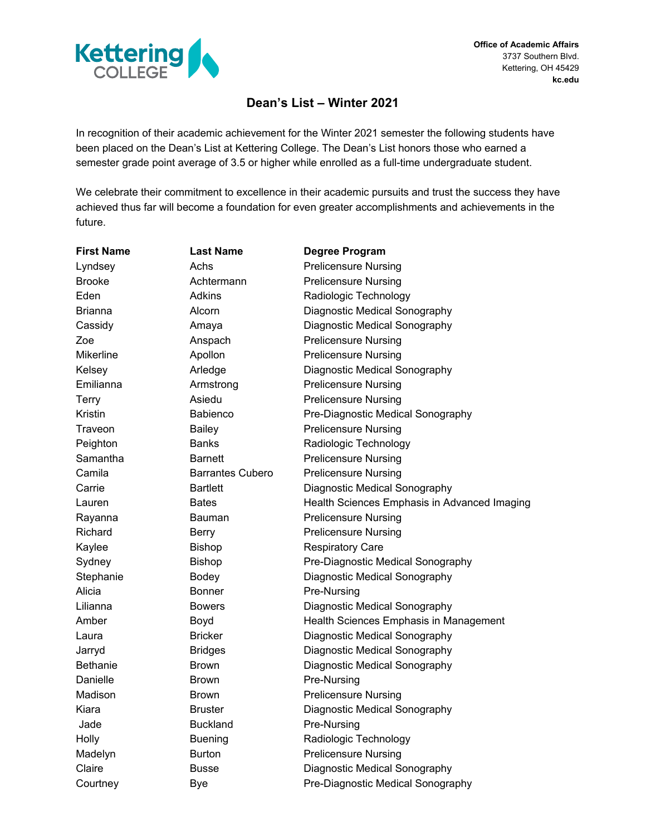

## **Dean's List – Winter 2021**

In recognition of their academic achievement for the Winter 2021 semester the following students have been placed on the Dean's List at Kettering College. The Dean's List honors those who earned a semester grade point average of 3.5 or higher while enrolled as a full-time undergraduate student.

We celebrate their commitment to excellence in their academic pursuits and trust the success they have achieved thus far will become a foundation for even greater accomplishments and achievements in the future.

| <b>First Name</b> | <b>Last Name</b>        | <b>Degree Program</b>                        |
|-------------------|-------------------------|----------------------------------------------|
| Lyndsey           | Achs                    | <b>Prelicensure Nursing</b>                  |
| <b>Brooke</b>     | Achtermann              | <b>Prelicensure Nursing</b>                  |
| Eden              | Adkins                  | Radiologic Technology                        |
| <b>Brianna</b>    | Alcorn                  | Diagnostic Medical Sonography                |
| Cassidy           | Amaya                   | Diagnostic Medical Sonography                |
| Zoe               | Anspach                 | <b>Prelicensure Nursing</b>                  |
| Mikerline         | Apollon                 | <b>Prelicensure Nursing</b>                  |
| Kelsey            | Arledge                 | Diagnostic Medical Sonography                |
| Emilianna         | Armstrong               | <b>Prelicensure Nursing</b>                  |
| Terry             | Asiedu                  | <b>Prelicensure Nursing</b>                  |
| Kristin           | <b>Babienco</b>         | Pre-Diagnostic Medical Sonography            |
| Traveon           | <b>Bailey</b>           | <b>Prelicensure Nursing</b>                  |
| Peighton          | Banks                   | Radiologic Technology                        |
| Samantha          | Barnett                 | <b>Prelicensure Nursing</b>                  |
| Camila            | <b>Barrantes Cubero</b> | <b>Prelicensure Nursing</b>                  |
| Carrie            | <b>Bartlett</b>         | Diagnostic Medical Sonography                |
| Lauren            | <b>Bates</b>            | Health Sciences Emphasis in Advanced Imaging |
| Rayanna           | Bauman                  | <b>Prelicensure Nursing</b>                  |
| Richard           | <b>Berry</b>            | <b>Prelicensure Nursing</b>                  |
| Kaylee            | <b>Bishop</b>           | <b>Respiratory Care</b>                      |
| Sydney            | <b>Bishop</b>           | Pre-Diagnostic Medical Sonography            |
| Stephanie         | Bodey                   | Diagnostic Medical Sonography                |
| Alicia            | <b>Bonner</b>           | Pre-Nursing                                  |
| Lilianna          | <b>Bowers</b>           | Diagnostic Medical Sonography                |
| Amber             | Boyd                    | Health Sciences Emphasis in Management       |
| Laura             | <b>Bricker</b>          | Diagnostic Medical Sonography                |
| Jarryd            | <b>Bridges</b>          | Diagnostic Medical Sonography                |
| <b>Bethanie</b>   | <b>Brown</b>            | Diagnostic Medical Sonography                |
| Danielle          | <b>Brown</b>            | Pre-Nursing                                  |
| Madison           | <b>Brown</b>            | <b>Prelicensure Nursing</b>                  |
| Kiara             | <b>Bruster</b>          | Diagnostic Medical Sonography                |
| Jade              | <b>Buckland</b>         | Pre-Nursing                                  |
| Holly             | <b>Buening</b>          | Radiologic Technology                        |
| Madelyn           | <b>Burton</b>           | <b>Prelicensure Nursing</b>                  |
| Claire            | <b>Busse</b>            | Diagnostic Medical Sonography                |
| Courtney          | Bye                     | Pre-Diagnostic Medical Sonography            |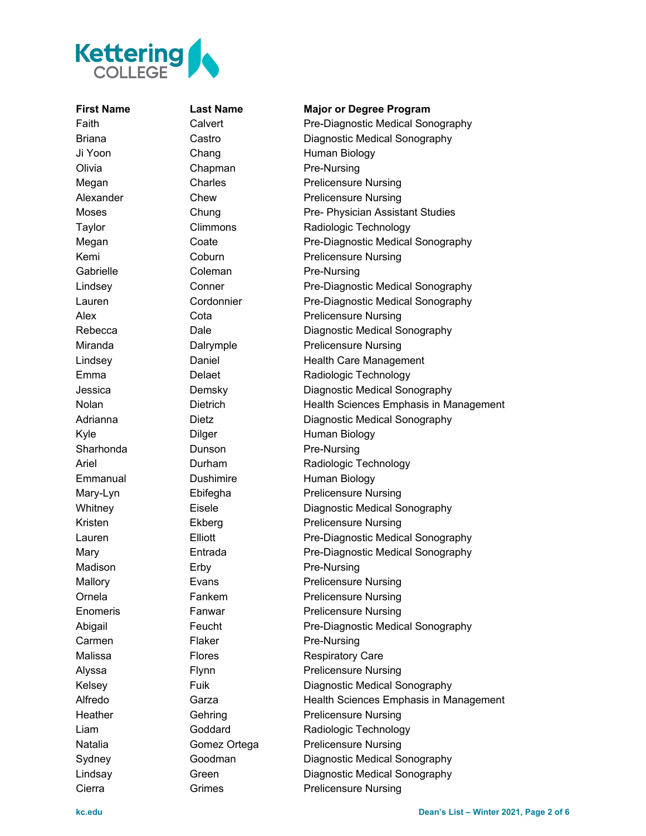

## **First Name Last Name Major or Degree Program**

Faith Calvert Pre-Diagnostic Medical Sonography Briana Castro Diagnostic Medical Sonography Ji Yoon Chang Human Biology Olivia Chapman Pre-Nursing Megan Charles Charles Prelicensure Nursing Alexander Chew Prelicensure Nursing Moses Chung Pre- Physician Assistant Studies Taylor Climmons Radiologic Technology Megan Coate Pre-Diagnostic Medical Sonography Kemi Coburn Prelicensure Nursing Gabrielle Coleman Pre-Nursing Lindsey **Conner** Pre-Diagnostic Medical Sonography Lauren Cordonnier Pre-Diagnostic Medical Sonography Alex Cota Cota Prelicensure Nursing Rebecca **Dale** Dale Diagnostic Medical Sonography Miranda **Dalrymple** Prelicensure Nursing Lindsey **Daniel** Daniel Health Care Management Emma Delaet Radiologic Technology Jessica Demsky Diagnostic Medical Sonography Nolan Dietrich Health Sciences Emphasis in Management Adrianna **Dietz** Dietz Diagnostic Medical Sonography Kyle **Dilger** Dilger Human Biology Sharhonda **Dunson** Pre-Nursing Ariel **Durham Radiologic Technology** Emmanual Dushimire Human Biology Mary-Lyn Ebifegha Prelicensure Nursing Whitney **Eisele Eisele** Diagnostic Medical Sonography Kristen Ekberg Prelicensure Nursing Lauren Elliott Pre-Diagnostic Medical Sonography Mary **Entrada** Pre-Diagnostic Medical Sonography Madison Erby **Pre-Nursing** Mallory **Evans** Evans Prelicensure Nursing Ornela Fankem Prelicensure Nursing Enomeris Fanwar Prelicensure Nursing Abigail Feucht **Pre-Diagnostic Medical Sonography** Carmen Flaker Pre-Nursing Malissa **Flores** Flores Respiratory Care Alyssa Flynn Prelicensure Nursing Kelsey Fuik Diagnostic Medical Sonography Alfredo **Garza** Garza Health Sciences Emphasis in Management Heather Gehring Prelicensure Nursing Liam Goddard Radiologic Technology Natalia **Comez Ortega** Prelicensure Nursing Sydney Goodman Diagnostic Medical Sonography Lindsay Green Diagnostic Medical Sonography Cierra **Grimes** Grimes **Prelicensure Nursing**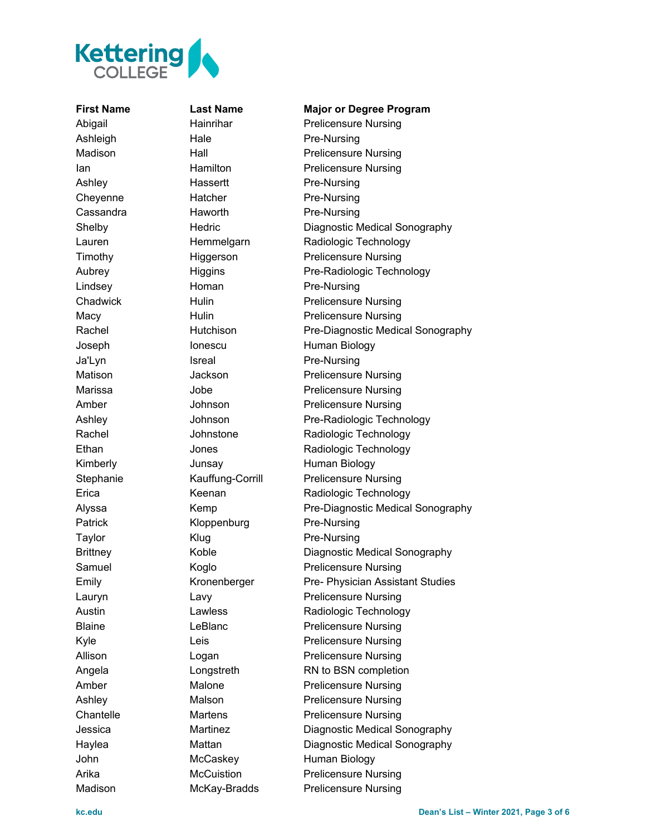

Ashleigh Hale Pre-Nursing Ashley Hassertt Pre-Nursing Cheyenne Hatcher Pre-Nursing Cassandra **Haworth** Pre-Nursing Lindsey **Homan** Pre-Nursing Ja'Lyn Isreal Pre-Nursing Patrick Kloppenburg Pre-Nursing Taylor **Klug Rights** Pre-Nursing Madison McKay-Bradds Prelicensure Nursing

**First Name Last Name Major or Degree Program** Abigail **Hainrihar** Prelicensure Nursing Madison Hall Prelicensure Nursing **Ian Ian Hamilton** Prelicensure Nursing Shelby Hedric Diagnostic Medical Sonography Lauren Hemmelgarn Radiologic Technology Timothy Higgerson Prelicensure Nursing Aubrey Higgins Pre-Radiologic Technology Chadwick Hulin Prelicensure Nursing Macy **Hulin** Hulin Prelicensure Nursing Rachel **Hutchison** Pre-Diagnostic Medical Sonography Joseph Ionescu Human Biology Matison Jackson Prelicensure Nursing Marissa Jobe **Prelicensure Nursing** Amber Johnson Prelicensure Nursing Ashley **Johnson** Pre-Radiologic Technology Rachel **National Communist Communist Communist Communist Communist Communist Communist Communist Communist Communist Communist Communist Communist Communist Communist Communist Communist Communist Communist Communist Commu** Ethan Jones Radiologic Technology Kimberly **Junsay** Human Biology Stephanie Kauffung-Corrill Prelicensure Nursing Erica Keenan Keenan Radiologic Technology Alyssa Kemp **Pre-Diagnostic Medical Sonography** Brittney Koble Diagnostic Medical Sonography Samuel Koglo **Prelicensure Nursing** Emily Kronenberger Pre- Physician Assistant Studies Lauryn Lavy Lavy Prelicensure Nursing Austin **Lawless Radiologic Technology** Blaine **LeBlanc LeBlanc** Prelicensure Nursing Kyle Leis Leis Prelicensure Nursing Allison Logan **Prelicensure Nursing** Angela **Longstreth** RN to BSN completion Amber Malone Prelicensure Nursing Ashley Malson Malson Prelicensure Nursing Chantelle Martens Prelicensure Nursing Jessica Martinez Diagnostic Medical Sonography Haylea Mattan Diagnostic Medical Sonography John McCaskey Human Biology Arika McCuistion Prelicensure Nursing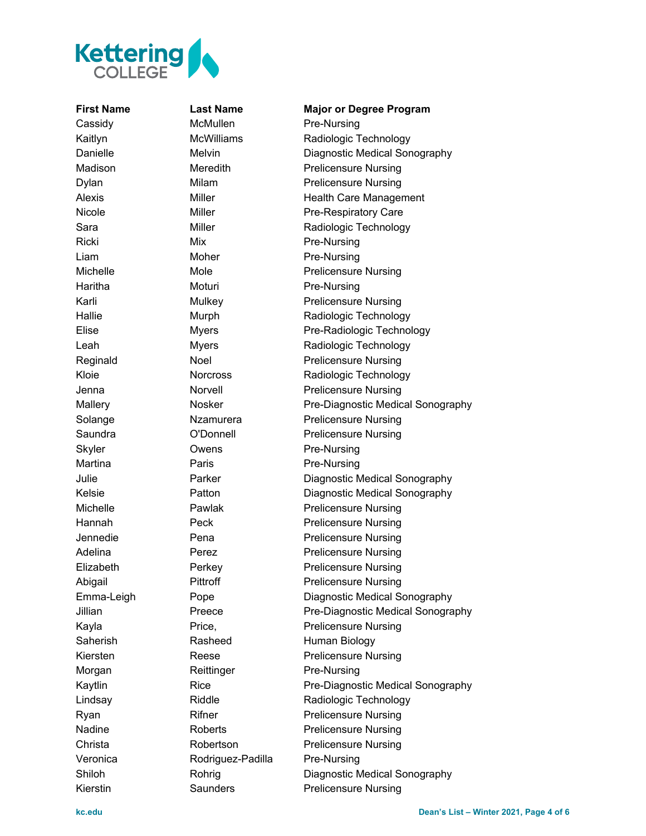

Cassidy McMullen Pre-Nursing Ricki Mix Mix Pre-Nursing Liam Moher Pre-Nursing Haritha Moturi Pre-Nursing Skyler **Owens** Pre-Nursing Martina **Paris** Paris Pre-Nursing Morgan Reittinger Pre-Nursing Veronica Rodriguez-Padilla Pre-Nursing

**First Name Last Name Major or Degree Program** Kaitlyn McWilliams Radiologic Technology Danielle Melvin Diagnostic Medical Sonography Madison Meredith Prelicensure Nursing Dylan Milam Milam Prelicensure Nursing Alexis Miller Miller Health Care Management Nicole Miller Miller Pre-Respiratory Care Sara Miller Miller Radiologic Technology Michelle Mole Mole Prelicensure Nursing Karli Mulkey Prelicensure Nursing Hallie Murph Radiologic Technology Elise Myers Pre-Radiologic Technology Leah Myers Radiologic Technology Reginald Noel Prelicensure Nursing Kloie Norcross Radiologic Technology Jenna Norvell Prelicensure Nursing Mallery **Nosker** Pre-Diagnostic Medical Sonography Solange **Nzamurera** Prelicensure Nursing Saundra **C'Donnell** Prelicensure Nursing Julie Parker Diagnostic Medical Sonography Kelsie Patton Diagnostic Medical Sonography Michelle Pawlak Prelicensure Nursing Hannah Peck Prelicensure Nursing Jennedie Pena Prelicensure Nursing Adelina Perez Perez Prelicensure Nursing Elizabeth Perkey Prelicensure Nursing Abigail Pittroff Prelicensure Nursing Emma-Leigh Pope Diagnostic Medical Sonography Jillian Preece Pre-Diagnostic Medical Sonography Kayla Price, Price, Prelicensure Nursing Saherish Rasheed Human Biology Kiersten Reese Prelicensure Nursing Kaytlin Rice Rice Pre-Diagnostic Medical Sonography Lindsay Riddle Radiologic Technology Ryan Rifner Prelicensure Nursing Nadine Roberts Prelicensure Nursing Christa **Robertson** Prelicensure Nursing Shiloh Rohrig Diagnostic Medical Sonography Kierstin Saunders Prelicensure Nursing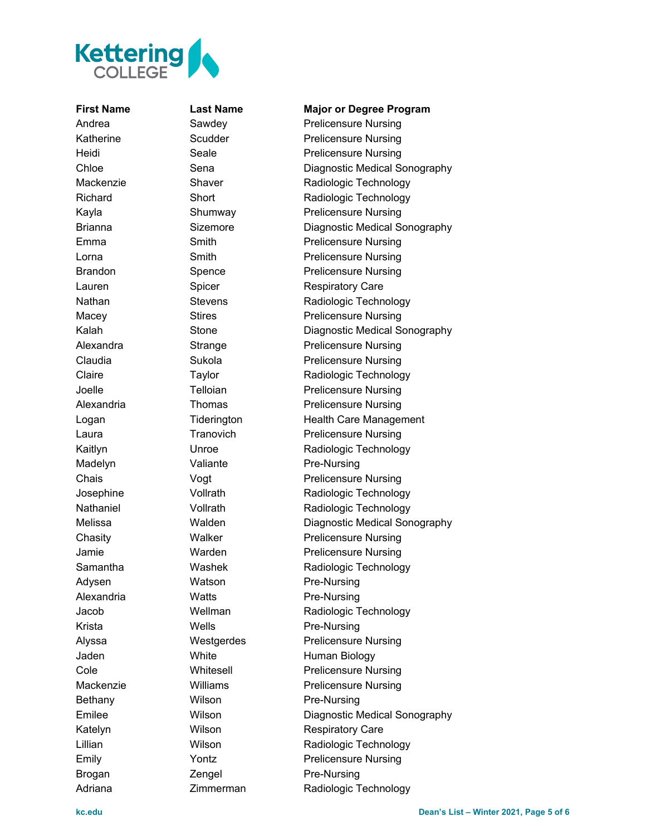

Madelyn Valiante Pre-Nursing Adysen Watson Pre-Nursing Alexandria **Watts** Pre-Nursing Krista Wells Pre-Nursing Bethany Wilson Pre-Nursing Brogan **Zengel** Pre-Nursing

**First Name Last Name Major or Degree Program** Andrea **Sawdey Prelicensure Nursing** Katherine **Scudder** Scudder **Prelicensure Nursing** Heidi Seale **Seale** Prelicensure Nursing Chloe Sena Diagnostic Medical Sonography Mackenzie Shaver Radiologic Technology Richard Short Short Radiologic Technology Kayla **Shumway** Prelicensure Nursing Brianna **Sizemore** Diagnostic Medical Sonography Emma Smith Smith Prelicensure Nursing Lorna **Smith** Smith **Prelicensure Nursing** Brandon Spence Prelicensure Nursing Lauren Spicer Respiratory Care Nathan Stevens Radiologic Technology Macey **Stires** Stires **Prelicensure Nursing** Kalah Stone Diagnostic Medical Sonography Alexandra Strange Prelicensure Nursing Claudia **Sukola** Sukola Prelicensure Nursing Claire Taylor Taylor Radiologic Technology Joelle Telloian **Telloian** Prelicensure Nursing Alexandria Thomas Prelicensure Nursing Logan Tiderington Health Care Management Laura **Tranovich Prelicensure Nursing** Kaitlyn Unroe Radiologic Technology Chais Vogt Vogt Prelicensure Nursing Josephine **Vollrath** Vollrath Radiologic Technology Nathaniel **Vollrath** Vollrath Radiologic Technology Melissa Walden Diagnostic Medical Sonography Chasity **Walker** Prelicensure Nursing Jamie Warden Prelicensure Nursing Samantha **Washek Radiologic Technology** Jacob Wellman Radiologic Technology Alyssa Westgerdes Prelicensure Nursing Jaden White Human Biology Cole **Whitesell** Prelicensure Nursing Mackenzie **Williams** Prelicensure Nursing Emilee Wilson Diagnostic Medical Sonography Katelyn Wilson Respiratory Care Lillian Wilson Radiologic Technology Emily **Prelicensure Nursing** Prelicensure Nursing Adriana **Zimmerman** Radiologic Technology